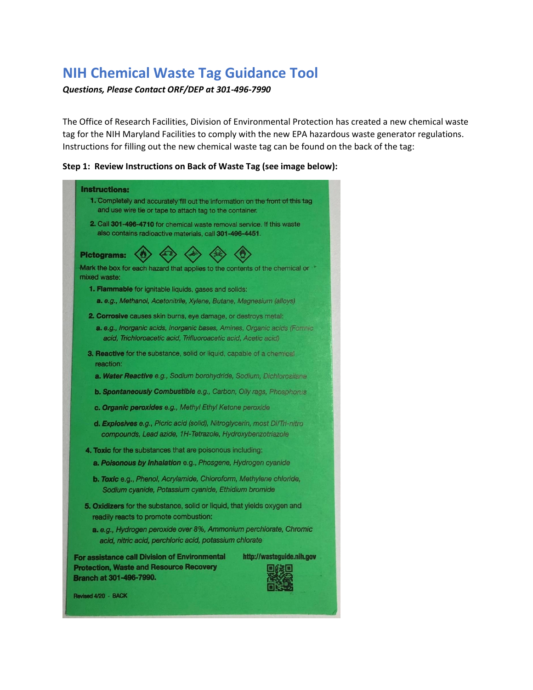# **NIH Chemical Waste Tag Guidance Tool**

#### *Questions, Please Contact ORF/DEP at 301-496-7990*

The Office of Research Facilities, Division of Environmental Protection has created a new chemical waste tag for the NIH Maryland Facilities to comply with the new EPA hazardous waste generator regulations. Instructions for filling out the new chemical waste tag can be found on the back of the tag:

#### **Step 1: Review Instructions on Back of Waste Tag (see image below):**

|                                                                                                                                            | <b>Instructions:</b><br>1. Completely and accurately fill out the information on the front of this tag<br>and use wire tie or tape to attach tag to the container.    |  |
|--------------------------------------------------------------------------------------------------------------------------------------------|-----------------------------------------------------------------------------------------------------------------------------------------------------------------------|--|
|                                                                                                                                            | <b>2.</b> Call 301-496-4710 for chemical waste removal service. If this waste<br>also contains radioactive materials, call 301-496-4451.                              |  |
|                                                                                                                                            | <b>Pictograms:</b><br>Mark the box for each hazard that applies to the contents of the chernical or                                                                   |  |
|                                                                                                                                            | mixed waste:<br><b>1. Flammable for ignitable liquids, gases and solids:</b>                                                                                          |  |
|                                                                                                                                            | a. e.g., Methanol, Acetonitrile, Xylene, Butane, Magnesium (alloys)                                                                                                   |  |
| <b>2. Corrosive causes skin burns, eye damage, or destroys metal:</b>                                                                      |                                                                                                                                                                       |  |
| a. e.g., Inorganic acids, Inorganic bases, Amines, Organic acids (Formic<br>acid, Trichloroacetic acid, Trifluoroacetic acid, Acetic acid) |                                                                                                                                                                       |  |
|                                                                                                                                            | <b>3. Reactive for the substance, solid or liquid, capable of a chemical</b><br>reaction:                                                                             |  |
|                                                                                                                                            | a. Water Reactive e.g., Sodium borohydride, Sodium, Dichlorositane                                                                                                    |  |
|                                                                                                                                            | <b>b. Spontaneously Combustible e.g., Carbon, Olly rags, Phosphorus</b>                                                                                               |  |
| c. Organic peroxides e.g., Methyl Ethyl Ketone peroxide                                                                                    |                                                                                                                                                                       |  |
| d. Explosives e.g., Picric acid (solid), Nitroglycerin, most Di/Tri-nitro<br>compounds, Lead azide, 1H-Tetrazole, Hydroxybenzotriazole     |                                                                                                                                                                       |  |
|                                                                                                                                            | <b>4. Toxic for the substances that are poisonous including:</b>                                                                                                      |  |
| a. Poisonous by Inhalation e.g., Phosgene, Hydrogen cyanide                                                                                |                                                                                                                                                                       |  |
| b. Toxic e.g., Phenol, Acrylamide, Chloroform, Methylene chloride,<br>Sodium cyanide, Potassium cyanide, Ethidium bromide                  |                                                                                                                                                                       |  |
|                                                                                                                                            | 5. Oxidizers for the substance, solid or liquid, that yields oxygen and<br>readily reacts to promote combustion:                                                      |  |
|                                                                                                                                            | a. e.g., Hydrogen peroxide over 8%, Ammonium perchlorate, Chromic<br>acid, nitric acid, perchloric acid, potassium chlorate                                           |  |
|                                                                                                                                            | <b>For assistance call Division of Environmental</b><br>http://wasteguide.nih.gov<br><b>Protection, Waste and Resource Recovery</b><br><b>Branch at 301-496-7990.</b> |  |
|                                                                                                                                            | Revised 4/20 - BACK                                                                                                                                                   |  |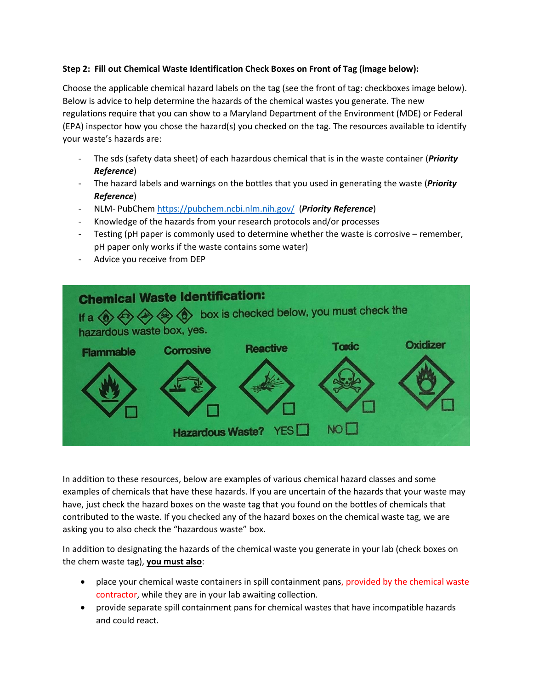#### **Step 2: Fill out Chemical Waste Identification Check Boxes on Front of Tag (image below):**

Choose the applicable chemical hazard labels on the tag (see the front of tag: checkboxes image below). Below is advice to help determine the hazards of the chemical wastes you generate. The new regulations require that you can show to a Maryland Department of the Environment (MDE) or Federal (EPA) inspector how you chose the hazard(s) you checked on the tag. The resources available to identify your waste's hazards are:

- The sds (safety data sheet) of each hazardous chemical that is in the waste container (*Priority Reference*)
- The hazard labels and warnings on the bottles that you used in generating the waste (*Priority Reference*)
- NLM- PubChe[m https://pubchem.ncbi.nlm.nih.gov/](https://pubchem.ncbi.nlm.nih.gov/) (*Priority Reference*)
- Knowledge of the hazards from your research protocols and/or processes
- Testing (pH paper is commonly used to determine whether the waste is corrosive remember, pH paper only works if the waste contains some water)
- Advice you receive from DEP



In addition to these resources, below are examples of various chemical hazard classes and some examples of chemicals that have these hazards. If you are uncertain of the hazards that your waste may have, just check the hazard boxes on the waste tag that you found on the bottles of chemicals that contributed to the waste. If you checked any of the hazard boxes on the chemical waste tag, we are asking you to also check the "hazardous waste" box.

In addition to designating the hazards of the chemical waste you generate in your lab (check boxes on the chem waste tag), **you must also**:

- place your chemical waste containers in spill containment pans, provided by the chemical waste contractor, while they are in your lab awaiting collection.
- provide separate spill containment pans for chemical wastes that have incompatible hazards and could react.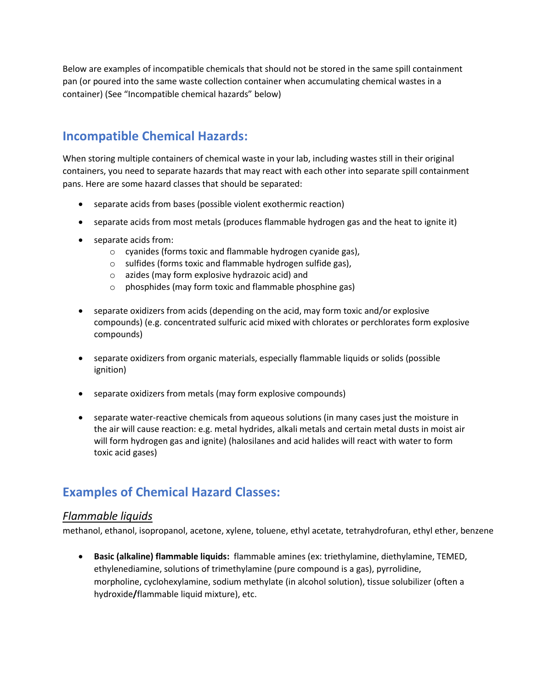Below are examples of incompatible chemicals that should not be stored in the same spill containment pan (or poured into the same waste collection container when accumulating chemical wastes in a container) (See "Incompatible chemical hazards" below)

## **Incompatible Chemical Hazards:**

When storing multiple containers of chemical waste in your lab, including wastes still in their original containers, you need to separate hazards that may react with each other into separate spill containment pans. Here are some hazard classes that should be separated:

- separate acids from bases (possible violent exothermic reaction)
- separate acids from most metals (produces flammable hydrogen gas and the heat to ignite it)
- separate acids from:
	- o cyanides (forms toxic and flammable hydrogen cyanide gas),
	- o sulfides (forms toxic and flammable hydrogen sulfide gas),
	- o azides (may form explosive hydrazoic acid) and
	- o phosphides (may form toxic and flammable phosphine gas)
- separate oxidizers from acids (depending on the acid, may form toxic and/or explosive compounds) (e.g. concentrated sulfuric acid mixed with chlorates or perchlorates form explosive compounds)
- separate oxidizers from organic materials, especially flammable liquids or solids (possible ignition)
- separate oxidizers from metals (may form explosive compounds)
- separate water-reactive chemicals from aqueous solutions (in many cases just the moisture in the air will cause reaction: e.g. metal hydrides, alkali metals and certain metal dusts in moist air will form hydrogen gas and ignite) (halosilanes and acid halides will react with water to form toxic acid gases)

## **Examples of Chemical Hazard Classes:**

#### *Flammable liquids*

methanol, ethanol, isopropanol, acetone, xylene, toluene, ethyl acetate, tetrahydrofuran, ethyl ether, benzene

• **Basic (alkaline) flammable liquids:** flammable amines (ex: triethylamine, diethylamine, TEMED, ethylenediamine, solutions of trimethylamine (pure compound is a gas), pyrrolidine, morpholine, cyclohexylamine, sodium methylate (in alcohol solution), tissue solubilizer (often a hydroxide**/**flammable liquid mixture), etc.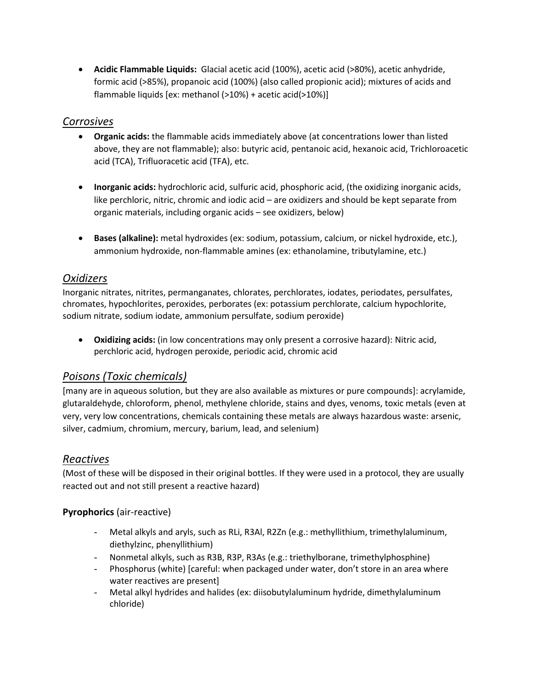• **Acidic Flammable Liquids:** Glacial acetic acid (100%), acetic acid (>80%), acetic anhydride, formic acid (>85%), propanoic acid (100%) (also called propionic acid); mixtures of acids and flammable liquids [ex: methanol (>10%) + acetic acid(>10%)]

### *Corrosives*

- **Organic acids:** the flammable acids immediately above (at concentrations lower than listed above, they are not flammable); also: butyric acid, pentanoic acid, hexanoic acid, Trichloroacetic acid (TCA), Trifluoracetic acid (TFA), etc.
- **Inorganic acids:** hydrochloric acid, sulfuric acid, phosphoric acid, (the oxidizing inorganic acids, like perchloric, nitric, chromic and iodic acid – are oxidizers and should be kept separate from organic materials, including organic acids – see oxidizers, below)
- **Bases (alkaline):** metal hydroxides (ex: sodium, potassium, calcium, or nickel hydroxide, etc.), ammonium hydroxide, non-flammable amines (ex: ethanolamine, tributylamine, etc.)

### *Oxidizers*

Inorganic nitrates, nitrites, permanganates, chlorates, perchlorates, iodates, periodates, persulfates, chromates, hypochlorites, peroxides, perborates (ex: potassium perchlorate, calcium hypochlorite, sodium nitrate, sodium iodate, ammonium persulfate, sodium peroxide)

• **Oxidizing acids:** (in low concentrations may only present a corrosive hazard): Nitric acid, perchloric acid, hydrogen peroxide, periodic acid, chromic acid

### *Poisons (Toxic chemicals)*

[many are in aqueous solution, but they are also available as mixtures or pure compounds]: acrylamide, glutaraldehyde, chloroform, phenol, methylene chloride, stains and dyes, venoms, toxic metals (even at very, very low concentrations, chemicals containing these metals are always hazardous waste: arsenic, silver, cadmium, chromium, mercury, barium, lead, and selenium)

### *Reactives*

(Most of these will be disposed in their original bottles. If they were used in a protocol, they are usually reacted out and not still present a reactive hazard)

### **Pyrophorics** (air-reactive)

- Metal alkyls and aryls, such as RLi, R3Al, R2Zn (e.g.: methyllithium, trimethylaluminum, diethylzinc, phenyllithium)
- Nonmetal alkyls, such as R3B, R3P, R3As (e.g.: triethylborane, trimethylphosphine)
- Phosphorus (white) [careful: when packaged under water, don't store in an area where water reactives are present]
- Metal alkyl hydrides and halides (ex: diisobutylaluminum hydride, dimethylaluminum chloride)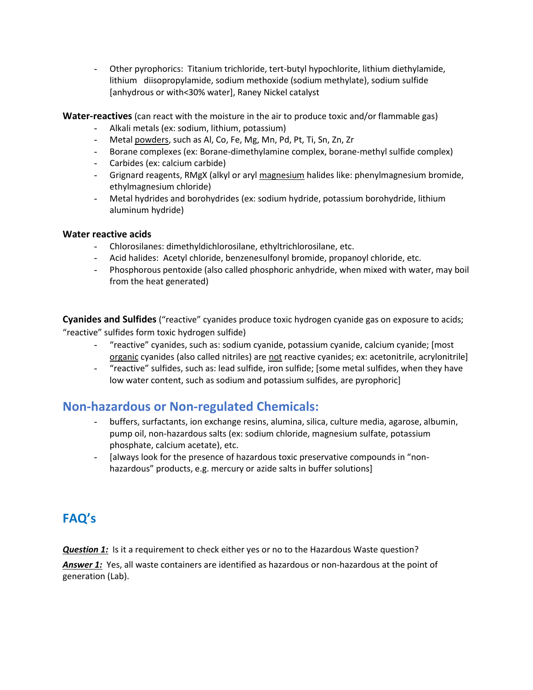- Other pyrophorics: Titanium trichloride, tert-butyl hypochlorite, lithium diethylamide, lithium diisopropylamide, sodium methoxide (sodium methylate), sodium sulfide [anhydrous or with<30% water], Raney Nickel catalyst

**Water-reactives** (can react with the moisture in the air to produce toxic and/or flammable gas)

- Alkali metals (ex: sodium, lithium, potassium)
- Metal powders, such as Al, Co, Fe, Mg, Mn, Pd, Pt, Ti, Sn, Zn, Zr
- Borane complexes (ex: Borane-dimethylamine complex, borane-methyl sulfide complex)
- Carbides (ex: calcium carbide)
- Grignard reagents, RMgX (alkyl or aryl magnesium halides like: phenylmagnesium bromide, ethylmagnesium chloride)
- Metal hydrides and borohydrides (ex: sodium hydride, potassium borohydride, lithium aluminum hydride)

#### **Water reactive acids**

- Chlorosilanes: dimethyldichlorosilane, ethyltrichlorosilane, etc.
- Acid halides: Acetyl chloride, benzenesulfonyl bromide, propanoyl chloride, etc.
- Phosphorous pentoxide (also called phosphoric anhydride, when mixed with water, may boil from the heat generated)

**Cyanides and Sulfides** ("reactive" cyanides produce toxic hydrogen cyanide gas on exposure to acids; "reactive" sulfides form toxic hydrogen sulfide)

- "reactive" cyanides, such as: sodium cyanide, potassium cyanide, calcium cyanide; [most organic cyanides (also called nitriles) are not reactive cyanides; ex: acetonitrile, acrylonitrile]
- "reactive" sulfides, such as: lead sulfide, iron sulfide; [some metal sulfides, when they have low water content, such as sodium and potassium sulfides, are pyrophoric]

### **Non-hazardous or Non-regulated Chemicals:**

- buffers, surfactants, ion exchange resins, alumina, silica, culture media, agarose, albumin, pump oil, non-hazardous salts (ex: sodium chloride, magnesium sulfate, potassium phosphate, calcium acetate), etc.
- [always look for the presence of hazardous toxic preservative compounds in "nonhazardous" products, e.g. mercury or azide salts in buffer solutions]

## **FAQ's**

*Question 1:* Is it a requirement to check either yes or no to the Hazardous Waste question?

*Answer 1:* Yes, all waste containers are identified as hazardous or non-hazardous at the point of generation (Lab).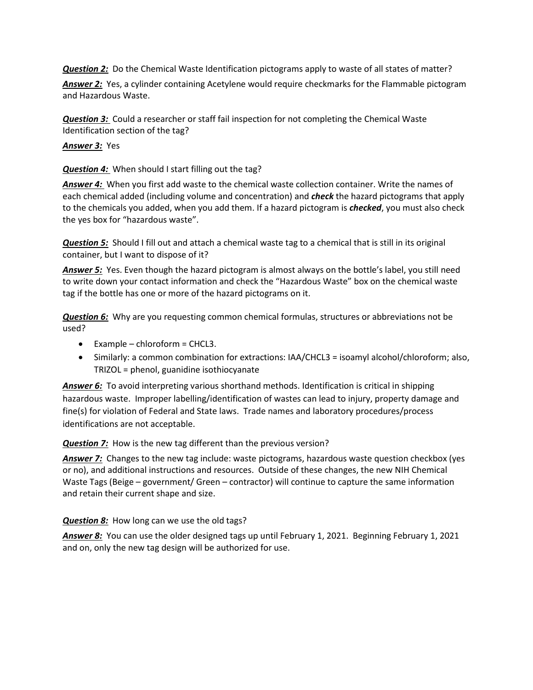*Question* 2: Do the Chemical Waste Identification pictograms apply to waste of all states of matter?

*Answer 2:* Yes, a cylinder containing Acetylene would require checkmarks for the Flammable pictogram and Hazardous Waste.

*Question 3:* Could a researcher or staff fail inspection for not completing the Chemical Waste Identification section of the tag?

*Answer 3:*Yes

*Question 4:* When should I start filling out the tag?

*Answer 4:* When you first add waste to the chemical waste collection container. Write the names of each chemical added (including volume and concentration) and *check* the hazard pictograms that apply to the chemicals you added, when you add them. If a hazard pictogram is *checked*, you must also check the yes box for "hazardous waste".

*Question 5:* Should I fill out and attach a chemical waste tag to a chemical that is still in its original container, but I want to dispose of it?

*Answer 5:* Yes. Even though the hazard pictogram is almost always on the bottle's label, you still need to write down your contact information and check the "Hazardous Waste" box on the chemical waste tag if the bottle has one or more of the hazard pictograms on it.

*Question 6:* Why are you requesting common chemical formulas, structures or abbreviations not be used?

- Example chloroform = CHCL3.
- Similarly: a common combination for extractions: IAA/CHCL3 = isoamyl alcohol/chloroform; also, TRIZOL = phenol, guanidine isothiocyanate

*Answer 6:* To avoid interpreting various shorthand methods. Identification is critical in shipping hazardous waste. Improper labelling/identification of wastes can lead to injury, property damage and fine(s) for violation of Federal and State laws. Trade names and laboratory procedures/process identifications are not acceptable.

*Question 7:* How is the new tag different than the previous version?

**Answer 7:** Changes to the new tag include: waste pictograms, hazardous waste question checkbox (yes or no), and additional instructions and resources. Outside of these changes, the new NIH Chemical Waste Tags (Beige – government/ Green – contractor) will continue to capture the same information and retain their current shape and size.

*Question 8:* How long can we use the old tags?

*Answer 8:* You can use the older designed tags up until February 1, 2021. Beginning February 1, 2021 and on, only the new tag design will be authorized for use.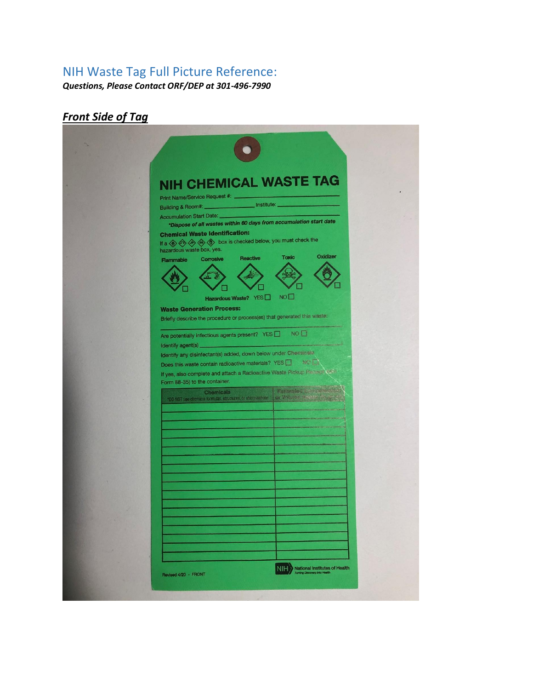## NIH Waste Tag Full Picture Reference:

*Questions, Please Contact ORF/DEP at 301-496-7990*

# *Front Side of Tag*

| <b>NIH CHEMICAL WASTE TAG</b>                                                                                                                                           |  |
|-------------------------------------------------------------------------------------------------------------------------------------------------------------------------|--|
| Print Name/Service Request #: _                                                                                                                                         |  |
| Building & Room#: histitute:                                                                                                                                            |  |
| Accumulation Start Date:<br>*Dispose of all wastes within 60 days from accumulation start date                                                                          |  |
| <b>Chemical Waste Identification:</b><br>If a $\bigotimes$ $\bigotimes$ $\bigotimes$ $\bigotimes$ box is checked below, you must check the<br>hazardous waste box, yes. |  |
| Oxidizer<br><b>Toxic</b><br><b>Reactive</b><br><b>Corrosive</b><br>Flammable                                                                                            |  |
|                                                                                                                                                                         |  |
|                                                                                                                                                                         |  |
| NO<br>Hazardous Waste? YES<br><b>Waste Generation Process:</b>                                                                                                          |  |
| Briefly describe the procedure or process(es) that generated this waste:                                                                                                |  |
| NO <sup>D</sup><br>Are potentially infectious agents present? YES                                                                                                       |  |
| Identify agent(s)                                                                                                                                                       |  |
| Identify any disinfectant(s) added, down below under Cheminaliz                                                                                                         |  |
| Does this waste contain radioactive materials? YES [ ] MOS<br>If yes, also complete and attach a Radioactive Waste Pickup Peccape Cash                                  |  |
| Form 88-35) to the container.                                                                                                                                           |  |
| <b>Katharden Den Jenable</b><br>Chemicals<br>for Values Redsky<br>*DO NOT use chemical formulas, structures, or abbreviations                                           |  |
|                                                                                                                                                                         |  |
|                                                                                                                                                                         |  |
|                                                                                                                                                                         |  |
|                                                                                                                                                                         |  |
|                                                                                                                                                                         |  |
|                                                                                                                                                                         |  |
|                                                                                                                                                                         |  |
|                                                                                                                                                                         |  |
|                                                                                                                                                                         |  |
|                                                                                                                                                                         |  |
|                                                                                                                                                                         |  |
|                                                                                                                                                                         |  |
|                                                                                                                                                                         |  |
|                                                                                                                                                                         |  |
| NIH<br><b>National Institutes of Health</b><br>ning Discovery Into Health<br>Revised 4/20 - FRONT                                                                       |  |
|                                                                                                                                                                         |  |